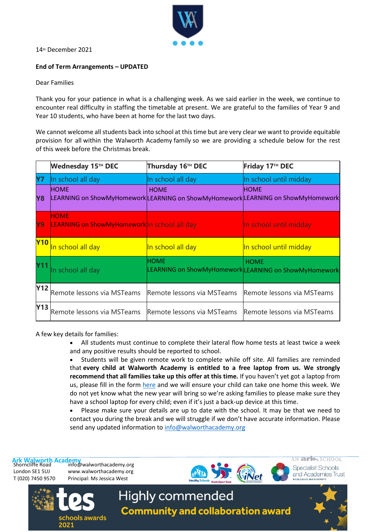

14th December 2021

## **End of Term Arrangements – UPDATED**

## Dear Families

Thank you for your patience in what is a challenging week. As we said earlier in the week, we continue to encounter real difficulty in staffing the timetable at present. We are grateful to the families of Year 9 and Year 10 students, who have been at home for the last two days.

We cannot welcome all students back into school at this time but are very clear we want to provide equitable provision for all within the Walworth Academy family so we are providing a schedule below for the rest of this week before the Christmas break.

|            | Wednesday 15™ DEC                                                                               | Thursday 16TH DEC          | Friday 17TH DEC                                                      |
|------------|-------------------------------------------------------------------------------------------------|----------------------------|----------------------------------------------------------------------|
| <b>Y7</b>  | In school all day                                                                               | In school all day          | In school until midday                                               |
| <b>Y8</b>  | <b>HOME</b><br>LEARNING on ShowMyHomework LEARNING on ShowMyHomework LEARNING on ShowMyHomework | <b>HOME</b>                | <b>HOME</b>                                                          |
| Y9         | <b>HOME</b><br><b>LEARNING on ShowMyHomework</b> In school all day                              |                            | In school until midday                                               |
| <b>Y10</b> | In school all day                                                                               | In school all day          | In school until midday                                               |
|            | In school all day                                                                               | <b>HOME</b>                | <b>HOME</b><br>LEARNING on ShowMyHomework LEARNING on ShowMyHomework |
| <b>Y12</b> | Remote lessons via MSTeams                                                                      | Remote lessons via MSTeams | Remote lessons via MSTeams                                           |
| <b>Y13</b> | Remote lessons via MSTeams                                                                      | Remote lessons via MSTeams | Remote lessons via MSTeams                                           |

A few key details for families:

• All students must continue to complete their lateral flow home tests at least twice a week and any positive results should be reported to school.

• Students will be given remote work to complete while off site. All families are reminded that **every child at Walworth Academy is entitled to a free laptop from us. We strongly recommend that all families take up this offer at this time.** If you haven't yet got a laptop from us, please fill in the form [here](https://forms.office.com/pages/responsepage.aspx?id=dBTLADSljUaCn2NuzjLCTKp4W2lpMfJLpT9zHPjCN1xUQktXREw2QkFJSzA5UVlRQzBZWkUzMVdRWi4u) and we will ensure your child can take one home this week. We do not yet know what the new year will bring so we're asking families to please make sure they have a school laptop for every child; even if it's just a back-up device at this time.

• Please make sure your details are up to date with the school. It may be that we need to contact you during the break and we will struggle if we don't have accurate information. Please send any updated information to [info@walworthacademy.org](mailto:info@walworthacademy.org)